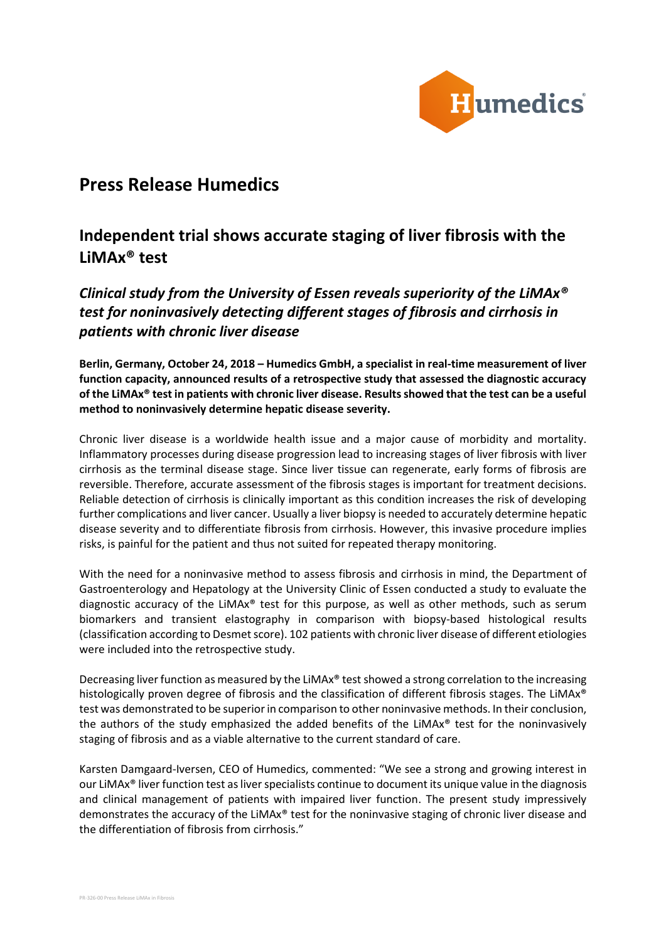

# **Press Release Humedics**

# **Independent trial shows accurate staging of liver fibrosis with the LiMAx® test**

*Clinical study from the University of Essen reveals superiority of the LiMAx® test for noninvasively detecting different stages of fibrosis and cirrhosis in patients with chronic liver disease*

**Berlin, Germany, October 24, 2018 – Humedics GmbH, a specialist in real-time measurement of liver function capacity, announced results of a retrospective study that assessed the diagnostic accuracy of the LiMAx® test in patients with chronic liver disease. Results showed that the test can be a useful method to noninvasively determine hepatic disease severity.**

Chronic liver disease is a worldwide health issue and a major cause of morbidity and mortality. Inflammatory processes during disease progression lead to increasing stages of liver fibrosis with liver cirrhosis as the terminal disease stage. Since liver tissue can regenerate, early forms of fibrosis are reversible. Therefore, accurate assessment of the fibrosis stages is important for treatment decisions. Reliable detection of cirrhosis is clinically important as this condition increases the risk of developing further complications and liver cancer. Usually a liver biopsy is needed to accurately determine hepatic disease severity and to differentiate fibrosis from cirrhosis. However, this invasive procedure implies risks, is painful for the patient and thus not suited for repeated therapy monitoring.

With the need for a noninvasive method to assess fibrosis and cirrhosis in mind, the Department of Gastroenterology and Hepatology at the University Clinic of Essen conducted a study to evaluate the diagnostic accuracy of the LiMAx<sup>®</sup> test for this purpose, as well as other methods, such as serum biomarkers and transient elastography in comparison with biopsy-based histological results (classification according to Desmet score). 102 patients with chronic liver disease of different etiologies were included into the retrospective study.

Decreasing liver function as measured by the LiMAx® test showed a strong correlation to the increasing histologically proven degree of fibrosis and the classification of different fibrosis stages. The LiMAx<sup>®</sup> test was demonstrated to be superior in comparison to other noninvasive methods. In their conclusion, the authors of the study emphasized the added benefits of the LiMA $x^{\circ}$  test for the noninvasively staging of fibrosis and as a viable alternative to the current standard of care.

Karsten Damgaard-Iversen, CEO of Humedics, commented: "We see a strong and growing interest in our LiMAx® liver function test asliver specialists continue to document its unique value in the diagnosis and clinical management of patients with impaired liver function. The present study impressively demonstrates the accuracy of the LiMAx® test for the noninvasive staging of chronic liver disease and the differentiation of fibrosis from cirrhosis."